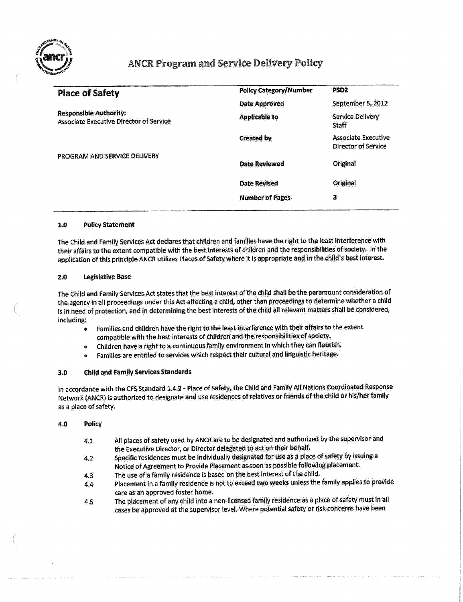

# ANCR Program and Service Delivery Policy

| <b>Policy Category/Number</b> | PSD <sub>2</sub>                                         |
|-------------------------------|----------------------------------------------------------|
| <b>Date Approved</b>          | September 5, 2012                                        |
| <b>Applicable to</b>          | <b>Service Delivery</b><br><b>Staff</b>                  |
| <b>Created by</b>             | <b>Associate Executive</b><br><b>Director of Service</b> |
| <b>Date Reviewed</b>          | Original                                                 |
| <b>Date Revised</b>           | Original                                                 |
| <b>Number of Pages</b>        | з                                                        |
|                               |                                                          |

#### 1.0 Policy Statement

The Child and Family Services Act declares that children and families have the right to the least interference with their affairs to the extent compatible with the best interests of children and the responsibilities of society. In the application ofthis principle ANCR utilizes Places of Safety where it is appropriate and in the child's best interest.

### 2.0 Legislative Base

The Child and Family Services Act states that the best interest of the child shall be the paramount consideration of the agency in all proceedings under this Act affecting a child, other than proceedings to determine whether a child is in need of protection, and in determining the best interests ofthe child ail relevant matters shall be considered, including:

- o Families and children have the right to the least interference with their affairs to the extent compatible with the best interests of children and the responsibilities of society,
- **<sup>s</sup>** Children have a right to a continuous family environment in which they can flourish,
- **e** Families are entitled to services which respect their cultural and linguistic heritage.

### 3,0 Child and Family Services Standards

In accordance with the CFS Standard 1.4.2 - Place of Safety, the Child and Family All Nations Coordinated Response Network (ANCR) is authorized to designate and use residences of relatives or friends ofthe child or his/her family as a place of safety.

#### 4.0 Policy

- 4.1 All places of safety used by ANCR are to be designated and authorized by the supervisor and the Executive Director, or Director delegated to act on their behalf.
- 4.2 Specific residences must be individually designated for use as a place of safety by issuing a Notice of Agreement to Provide Placement as soon as possible following placement,
- 4.3 The use of a family residence is based on the best interest of the child.
- 4.4 Placement in a family residence is not to exceed two weeks unless the family applies to provide care as an approved foster home.
- 4.S: The placement of any child into a non-licensed family residence as a place of safety must in all cases be approved at the supervisor level. Where potential safety or risk concerns have been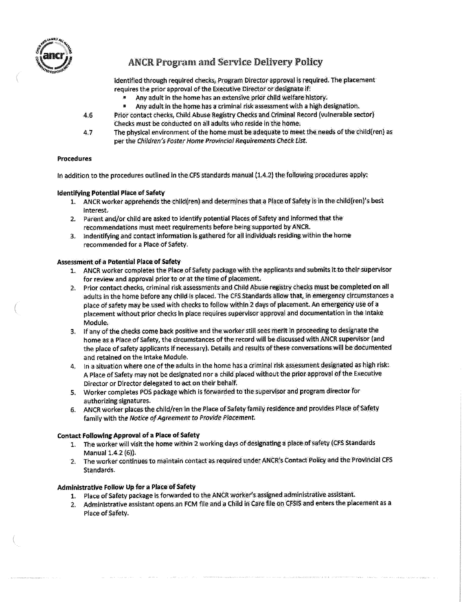

## **ANCR** Program **and Service Delivery Policy**

identified through required checks, Program Director approval is required. The placement requires the prior approval of the Executive Director or designate if:

- B Any adult in the home has an extensive prior child welfare history.
- \* Any adult in the home has a criminal risk assessment with a high designation.
- 4.6 Prior contact checks, Child Abuse Registry Checks and Criminal Record (vulnerable sector) Checks must be conducted on all adults who reside in the home.
- 4.7 The physical environment of the home must be adequate to meet the needs of the childfren) as per the Children's Foster Home Provincial Requirements Check List.

### Procedures

In addition to the procedures outlined in the CFS standards manual (1.4.2) the following procedures apply:

## Identifying Potential Place of Safety

- 1. ANCR worker apprehends the children} and determines that a Place of Safety is in the child{ren)'s best interest.
- 2. Parent and/or child are asked to identify potential Places of Safety and informed that the recommendations must meet requirements before being supported by ANCR.
- 3. Indentifying and contact information is gathered for all individuals residing within the home recommended for a Place of Safety,

## Assessment of a Potential Place of Safety

- 1. ANCR worker completes the Place of Safety package with the applicants and submits it to their supervisor for review and approval prior to or at the time of placement.
- 2. Prior contact checks, criminal risk assessments and Child Abuse registry checks must be completed on all adults in the home before any child is placed. The CFS Standards allow that, in emergency circumstances a place of safety may be used with checks to follow within 2 days of placement. An emergency use of a placement without prior checks in place requires supervisor approval and documentation in the Intake Module;
- 3. If any of the checks come back positive and the worker still sees merit in proceeding to designate the home as a Place of Safety, the circumstances of the record will be discussed with ANCR supervisor (and the place of safety applicants if necessary). Details and results of these conversations will be documented and retained on the intake Module.
- 4. In a situation where one ofthe adults in the home has a criminal risk assessment designated as high risk: A Place of Safety may not be designated nor a child placed without the prior approval ofthe Executive Director or Director delegated to act on their behalf.
- 5. Worker completes POS package which is forwarded to the supervisor and program director for authorizing signatures.
- 6. ANCR worker places the child/ren in the Place of Safety family residence and provides Place of Safety family with the Notice af Agreement to Provide Placement.

## Contact Following Approval of a Place of Safety

- 1. The worker will visit the home within 2 working days of designating a place af safety (CFS Standards Manual 1.4.2 (6}).
- 2. The worker continues to maintain contact as required under ANCR's Contact Policy and the Provincial CFS Standards.

## Administrative Follow Up for a Place of Safety

- 1. Place of Safety package is forwarded to the ANCR worker's assigned administrative assistant.
- 2> Administrative assistant opens an FCM file and a Child in Care file on CFSIS and enters the placement as a Place of Safety.